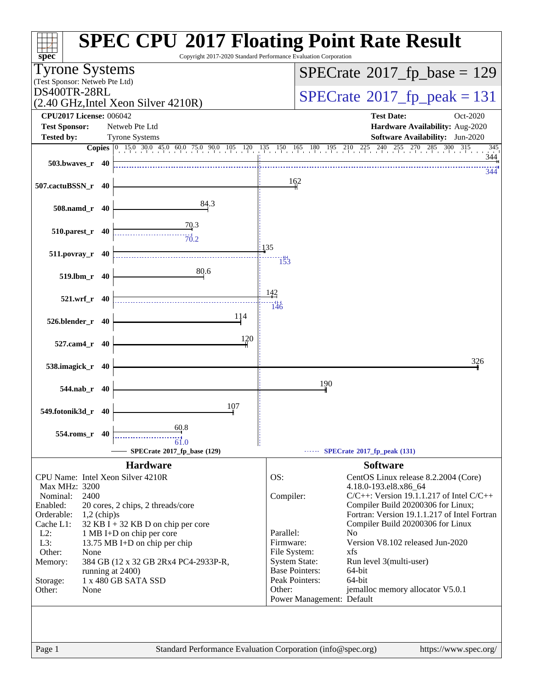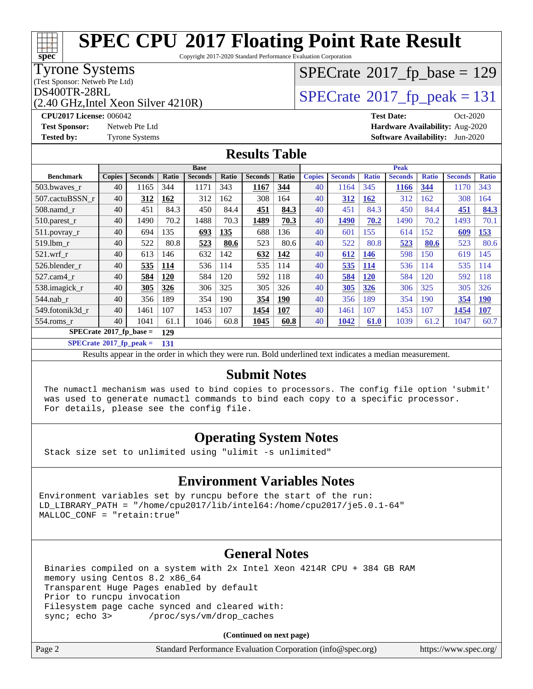Copyright 2017-2020 Standard Performance Evaluation Corporation

#### Tyrone Systems

(Test Sponsor: Netweb Pte Ltd)

(2.40 GHz,Intel Xeon Silver 4210R)

# $SPECTate$ <sup>®</sup>[2017\\_fp\\_base =](http://www.spec.org/auto/cpu2017/Docs/result-fields.html#SPECrate2017fpbase) 129

## $D$ S400TR-28RL<br>(2.40 GHz Intel Xeon Silver 4210R)  $S$ PECrate®[2017\\_fp\\_peak = 1](http://www.spec.org/auto/cpu2017/Docs/result-fields.html#SPECrate2017fppeak)31

**[CPU2017 License:](http://www.spec.org/auto/cpu2017/Docs/result-fields.html#CPU2017License)** 006042 **[Test Date:](http://www.spec.org/auto/cpu2017/Docs/result-fields.html#TestDate)** Oct-2020 **[Test Sponsor:](http://www.spec.org/auto/cpu2017/Docs/result-fields.html#TestSponsor)** Netweb Pte Ltd **[Hardware Availability:](http://www.spec.org/auto/cpu2017/Docs/result-fields.html#HardwareAvailability)** Aug-2020 **[Tested by:](http://www.spec.org/auto/cpu2017/Docs/result-fields.html#Testedby)** Tyrone Systems **[Software Availability:](http://www.spec.org/auto/cpu2017/Docs/result-fields.html#SoftwareAvailability)** Jun-2020

### **[Results Table](http://www.spec.org/auto/cpu2017/Docs/result-fields.html#ResultsTable)**

|                                  | <b>Base</b>   |                |            |                | <b>Peak</b> |                |       |               |                |              |                |              |                |              |
|----------------------------------|---------------|----------------|------------|----------------|-------------|----------------|-------|---------------|----------------|--------------|----------------|--------------|----------------|--------------|
| <b>Benchmark</b>                 | <b>Copies</b> | <b>Seconds</b> | Ratio      | <b>Seconds</b> | Ratio       | <b>Seconds</b> | Ratio | <b>Copies</b> | <b>Seconds</b> | <b>Ratio</b> | <b>Seconds</b> | <b>Ratio</b> | <b>Seconds</b> | <b>Ratio</b> |
| 503.bwaves_r                     | 40            | 1165           | 344        | 1171           | 343         | 1167           | 344   | 40            | 1164           | 345          | <b>1166</b>    | 344          | 1170           | 343          |
| 507.cactuBSSN r                  | 40            | 312            | <b>162</b> | 312            | 162         | 308            | 164   | 40            | 312            | 162          | 312            | 162          | 308            | 164          |
| $508$ .namd $r$                  | 40            | 451            | 84.3       | 450            | 84.4        | 451            | 84.3  | 40            | 451            | 84.3         | 450            | 84.4         | 451            | 84.3         |
| 510.parest_r                     | 40            | 1490           | 70.2       | 1488           | 70.3        | 1489           | 70.3  | 40            | 1490           | 70.2         | 1490           | 70.2         | 1493           | 70.1         |
| 511.povray_r                     | 40            | 694            | 135        | 693            | 135         | 688            | 136   | 40            | 601            | 155          | 614            | 152          | 609            | <u>153</u>   |
| 519.lbm r                        | 40            | 522            | 80.8       | 523            | 80.6        | 523            | 80.6  | 40            | 522            | 80.8         | 523            | 80.6         | 523            | 80.6         |
| $521.wrf_r$                      | 40            | 613            | 146        | 632            | 142         | 632            | 142   | 40            | 612            | <b>146</b>   | 598            | 150          | 619            | 145          |
| 526.blender r                    | 40            | 535            | 114        | 536            | 114         | 535            | 114   | 40            | 535            | <b>114</b>   | 536            | 114          | 535            | 114          |
| 527.cam4 r                       | 40            | 584            | 120        | 584            | 120         | 592            | 118   | 40            | 584            | <b>120</b>   | 584            | 120          | 592            | 118          |
| 538.imagick_r                    | 40            | 305            | 326        | 306            | 325         | 305            | 326   | 40            | <u>305</u>     | 326          | 306            | 325          | 305            | 326          |
| $544$ .nab_r                     | 40            | 356            | 189        | 354            | 190         | 354            | 190   | 40            | 356            | 189          | 354            | 190          | 354            | <b>190</b>   |
| 549.fotonik3d r                  | 40            | 1461           | 107        | 1453           | 107         | 1454           | 107   | 40            | 1461           | 107          | 1453           | 107          | 1454           | 107          |
| $554$ .roms $r$                  | 40            | 1041           | 61.1       | 1046           | 60.8        | 1045           | 60.8  | 40            | 1042           | 61.0         | 1039           | 61.2         | 1047           | 60.7         |
| $SPECrate^{\circ}2017$ fp base = | 129           |                |            |                |             |                |       |               |                |              |                |              |                |              |

**[SPECrate](http://www.spec.org/auto/cpu2017/Docs/result-fields.html#SPECrate2017fppeak)[2017\\_fp\\_peak =](http://www.spec.org/auto/cpu2017/Docs/result-fields.html#SPECrate2017fppeak) 131**

Results appear in the [order in which they were run.](http://www.spec.org/auto/cpu2017/Docs/result-fields.html#RunOrder) Bold underlined text [indicates a median measurement.](http://www.spec.org/auto/cpu2017/Docs/result-fields.html#Median)

#### **[Submit Notes](http://www.spec.org/auto/cpu2017/Docs/result-fields.html#SubmitNotes)**

 The numactl mechanism was used to bind copies to processors. The config file option 'submit' was used to generate numactl commands to bind each copy to a specific processor. For details, please see the config file.

### **[Operating System Notes](http://www.spec.org/auto/cpu2017/Docs/result-fields.html#OperatingSystemNotes)**

Stack size set to unlimited using "ulimit -s unlimited"

### **[Environment Variables Notes](http://www.spec.org/auto/cpu2017/Docs/result-fields.html#EnvironmentVariablesNotes)**

Environment variables set by runcpu before the start of the run: LD\_LIBRARY\_PATH = "/home/cpu2017/lib/intel64:/home/cpu2017/je5.0.1-64" MALLOC\_CONF = "retain:true"

### **[General Notes](http://www.spec.org/auto/cpu2017/Docs/result-fields.html#GeneralNotes)**

 Binaries compiled on a system with 2x Intel Xeon 4214R CPU + 384 GB RAM memory using Centos 8.2 x86\_64 Transparent Huge Pages enabled by default Prior to runcpu invocation Filesystem page cache synced and cleared with: sync; echo 3> /proc/sys/vm/drop\_caches

**(Continued on next page)**

| Page 2<br>Standard Performance Evaluation Corporation (info@spec.org)<br>https://www.spec.org/ |
|------------------------------------------------------------------------------------------------|
|------------------------------------------------------------------------------------------------|

**[spec](http://www.spec.org/)**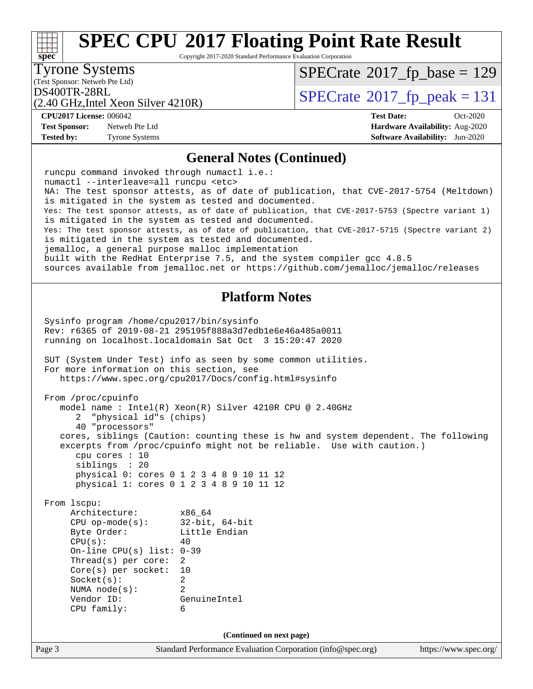Copyright 2017-2020 Standard Performance Evaluation Corporation

(Test Sponsor: Netweb Pte Ltd) Tyrone Systems

**[spec](http://www.spec.org/)**

 $\pm\pm\prime$ 

 $SPECrate$ <sup>®</sup>[2017\\_fp\\_base =](http://www.spec.org/auto/cpu2017/Docs/result-fields.html#SPECrate2017fpbase) 129

(2.40 GHz,Intel Xeon Silver 4210R)

DS400TR-28RL<br> $(2.40 \text{ GHz Intel Xeon Silver } 4210R)$  [SPECrate](http://www.spec.org/auto/cpu2017/Docs/result-fields.html#SPECrate2017fppeak)®[2017\\_fp\\_peak = 1](http://www.spec.org/auto/cpu2017/Docs/result-fields.html#SPECrate2017fppeak)31

**[CPU2017 License:](http://www.spec.org/auto/cpu2017/Docs/result-fields.html#CPU2017License)** 006042 **[Test Date:](http://www.spec.org/auto/cpu2017/Docs/result-fields.html#TestDate)** Oct-2020

**[Test Sponsor:](http://www.spec.org/auto/cpu2017/Docs/result-fields.html#TestSponsor)** Netweb Pte Ltd **[Hardware Availability:](http://www.spec.org/auto/cpu2017/Docs/result-fields.html#HardwareAvailability)** Aug-2020 **[Tested by:](http://www.spec.org/auto/cpu2017/Docs/result-fields.html#Testedby)** Tyrone Systems **[Software Availability:](http://www.spec.org/auto/cpu2017/Docs/result-fields.html#SoftwareAvailability)** Jun-2020

### **[General Notes \(Continued\)](http://www.spec.org/auto/cpu2017/Docs/result-fields.html#GeneralNotes)**

|                                                   | is mitigated in the system as tested and documented.<br>Yes: The test sponsor attests, as of date of publication, that CVE-2017-5715 (Spectre variant 2)        |                       |
|---------------------------------------------------|-----------------------------------------------------------------------------------------------------------------------------------------------------------------|-----------------------|
|                                                   | is mitigated in the system as tested and documented.                                                                                                            |                       |
| jemalloc, a general purpose malloc implementation |                                                                                                                                                                 |                       |
|                                                   | built with the RedHat Enterprise 7.5, and the system compiler gcc 4.8.5<br>sources available from jemalloc.net or https://github.com/jemalloc/jemalloc/releases |                       |
|                                                   |                                                                                                                                                                 |                       |
|                                                   | <b>Platform Notes</b>                                                                                                                                           |                       |
| Sysinfo program /home/cpu2017/bin/sysinfo         |                                                                                                                                                                 |                       |
|                                                   | Rev: r6365 of 2019-08-21 295195f888a3d7edble6e46a485a0011                                                                                                       |                       |
|                                                   | running on localhost.localdomain Sat Oct 3 15:20:47 2020                                                                                                        |                       |
|                                                   | SUT (System Under Test) info as seen by some common utilities.                                                                                                  |                       |
| For more information on this section, see         |                                                                                                                                                                 |                       |
|                                                   | https://www.spec.org/cpu2017/Docs/config.html#sysinfo                                                                                                           |                       |
| From /proc/cpuinfo                                |                                                                                                                                                                 |                       |
| 2 "physical id"s (chips)                          | model name: $Intel(R)$ Xeon(R) Silver 4210R CPU @ 2.40GHz                                                                                                       |                       |
| 40 "processors"                                   |                                                                                                                                                                 |                       |
|                                                   | cores, siblings (Caution: counting these is hw and system dependent. The following                                                                              |                       |
| cpu cores : 10                                    | excerpts from /proc/cpuinfo might not be reliable. Use with caution.)                                                                                           |                       |
| siblings : 20                                     |                                                                                                                                                                 |                       |
|                                                   | physical 0: cores 0 1 2 3 4 8 9 10 11 12                                                                                                                        |                       |
|                                                   | physical 1: cores 0 1 2 3 4 8 9 10 11 12                                                                                                                        |                       |
| From 1scpu:                                       |                                                                                                                                                                 |                       |
| Architecture:<br>CPU op-mode(s): $32-bit, 64-bit$ | x86 64                                                                                                                                                          |                       |
| Byte Order: Little Endian                         |                                                                                                                                                                 |                       |
| CPU(s):                                           | 40                                                                                                                                                              |                       |
| On-line CPU(s) list: $0-39$                       |                                                                                                                                                                 |                       |
| Thread(s) per core:<br>$Core(s)$ per socket:      | 2<br>10                                                                                                                                                         |                       |
| Socket(s):                                        | 2                                                                                                                                                               |                       |
| NUMA node(s):                                     | $\overline{2}$                                                                                                                                                  |                       |
| Vendor ID:                                        | GenuineIntel                                                                                                                                                    |                       |
| CPU family:                                       | 6                                                                                                                                                               |                       |
|                                                   | (Continued on next page)                                                                                                                                        |                       |
| Page 3                                            | Standard Performance Evaluation Corporation (info@spec.org)                                                                                                     | https://www.spec.org/ |
|                                                   |                                                                                                                                                                 |                       |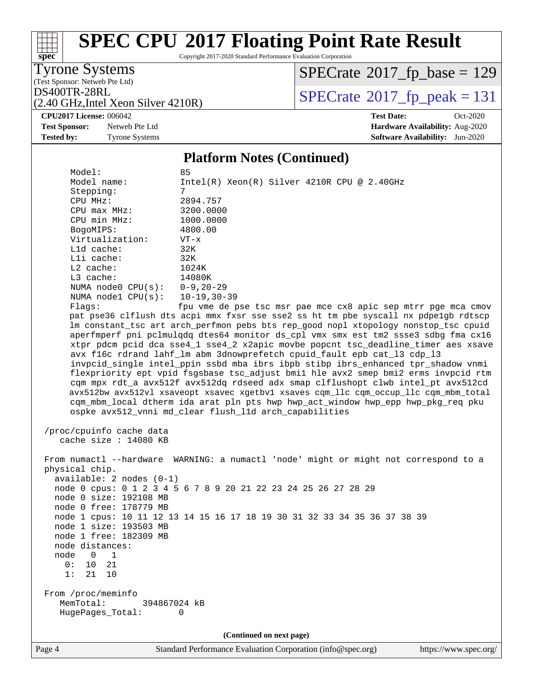Copyright 2017-2020 Standard Performance Evaluation Corporation

Tyrone Systems

**[spec](http://www.spec.org/)**

(Test Sponsor: Netweb Pte Ltd)

(2.40 GHz,Intel Xeon Silver 4210R)

 $SPECTate$ <sup>®</sup>[2017\\_fp\\_base =](http://www.spec.org/auto/cpu2017/Docs/result-fields.html#SPECrate2017fpbase) 129

 $DS400TR-28RL$ <br>(2.40 GHz Intel Xeon Silver 4210R) [SPECrate](http://www.spec.org/auto/cpu2017/Docs/result-fields.html#SPECrate2017fppeak)®[2017\\_fp\\_peak = 1](http://www.spec.org/auto/cpu2017/Docs/result-fields.html#SPECrate2017fppeak)31

**[Test Sponsor:](http://www.spec.org/auto/cpu2017/Docs/result-fields.html#TestSponsor)** Netweb Pte Ltd **[Hardware Availability:](http://www.spec.org/auto/cpu2017/Docs/result-fields.html#HardwareAvailability)** Aug-2020

**[CPU2017 License:](http://www.spec.org/auto/cpu2017/Docs/result-fields.html#CPU2017License)** 006042 **[Test Date:](http://www.spec.org/auto/cpu2017/Docs/result-fields.html#TestDate)** Oct-2020 **[Tested by:](http://www.spec.org/auto/cpu2017/Docs/result-fields.html#Testedby)** Tyrone Systems **[Software Availability:](http://www.spec.org/auto/cpu2017/Docs/result-fields.html#SoftwareAvailability)** Jun-2020

#### **[Platform Notes \(Continued\)](http://www.spec.org/auto/cpu2017/Docs/result-fields.html#PlatformNotes)**

Model:<br>Model name: Intel(R) Xeon(R) Silver 4210R CPU @ 2.40GHz Stepping: 7 CPU MHz: 2894.757 CPU max MHz: 3200.0000 CPU min MHz: 1000.0000 BogoMIPS: 4800.00 Virtualization: VT-x L1d cache: 32K L1i cache: 32K L2 cache: 1024K L3 cache: 14080K NUMA node0 CPU(s): 0-9,20-29 NUMA node1 CPU(s): 10-19,30-39 Flags: fpu vme de pse tsc msr pae mce cx8 apic sep mtrr pge mca cmov pat pse36 clflush dts acpi mmx fxsr sse sse2 ss ht tm pbe syscall nx pdpe1gb rdtscp lm constant\_tsc art arch\_perfmon pebs bts rep\_good nopl xtopology nonstop\_tsc cpuid aperfmperf pni pclmulqdq dtes64 monitor ds\_cpl vmx smx est tm2 ssse3 sdbg fma cx16 xtpr pdcm pcid dca sse4\_1 sse4\_2 x2apic movbe popcnt tsc\_deadline\_timer aes xsave avx f16c rdrand lahf\_lm abm 3dnowprefetch cpuid\_fault epb cat\_l3 cdp\_l3 invpcid\_single intel\_ppin ssbd mba ibrs ibpb stibp ibrs\_enhanced tpr\_shadow vnmi flexpriority ept vpid fsgsbase tsc\_adjust bmi1 hle avx2 smep bmi2 erms invpcid rtm cqm mpx rdt\_a avx512f avx512dq rdseed adx smap clflushopt clwb intel\_pt avx512cd avx512bw avx512vl xsaveopt xsavec xgetbv1 xsaves cqm\_llc cqm\_occup\_llc cqm\_mbm\_total cqm\_mbm\_local dtherm ida arat pln pts hwp hwp\_act\_window hwp\_epp hwp\_pkg\_req pku ospke avx512\_vnni md\_clear flush\_l1d arch\_capabilities /proc/cpuinfo cache data cache size : 14080 KB From numactl --hardware WARNING: a numactl 'node' might or might not correspond to a physical chip. available: 2 nodes (0-1) node 0 cpus: 0 1 2 3 4 5 6 7 8 9 20 21 22 23 24 25 26 27 28 29 node 0 size: 192108 MB node 0 free: 178779 MB node 1 cpus: 10 11 12 13 14 15 16 17 18 19 30 31 32 33 34 35 36 37 38 39 node 1 size: 193503 MB node 1 free: 182309 MB node distances: node 0 1 0: 10 21 1: 21 10 From /proc/meminfo MemTotal: 394867024 kB HugePages\_Total: 0 **(Continued on next page)**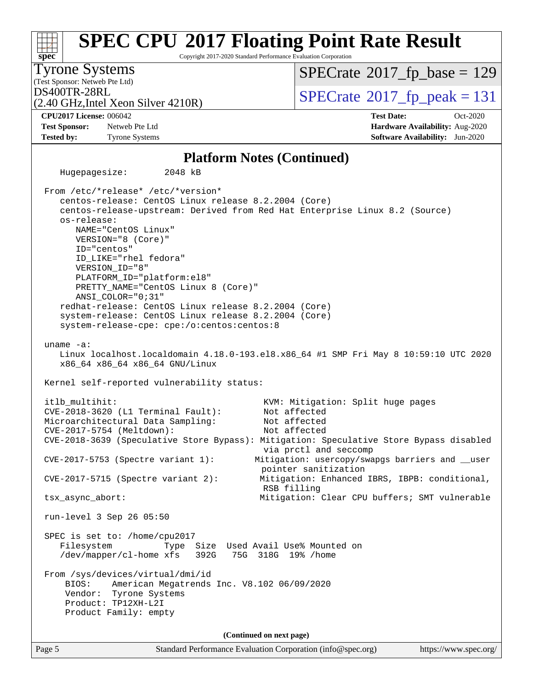#### Page 5 Standard Performance Evaluation Corporation [\(info@spec.org\)](mailto:info@spec.org) <https://www.spec.org/> **[spec](http://www.spec.org/) [SPEC CPU](http://www.spec.org/auto/cpu2017/Docs/result-fields.html#SPECCPU2017FloatingPointRateResult)[2017 Floating Point Rate Result](http://www.spec.org/auto/cpu2017/Docs/result-fields.html#SPECCPU2017FloatingPointRateResult)** Copyright 2017-2020 Standard Performance Evaluation Corporation (Test Sponsor: Netweb Pte Ltd) Tyrone Systems (2.40 GHz,Intel Xeon Silver 4210R)  $DS400TR-28RL$ <br>(2.40 GHz Intel Xeon Silver 4210R) [SPECrate](http://www.spec.org/auto/cpu2017/Docs/result-fields.html#SPECrate2017fppeak)®[2017\\_fp\\_peak = 1](http://www.spec.org/auto/cpu2017/Docs/result-fields.html#SPECrate2017fppeak)31  $SPECTate$ <sup>®</sup>[2017\\_fp\\_base =](http://www.spec.org/auto/cpu2017/Docs/result-fields.html#SPECrate2017fpbase) 129 **[CPU2017 License:](http://www.spec.org/auto/cpu2017/Docs/result-fields.html#CPU2017License)** 006042 **[Test Date:](http://www.spec.org/auto/cpu2017/Docs/result-fields.html#TestDate)** Oct-2020 **[Test Sponsor:](http://www.spec.org/auto/cpu2017/Docs/result-fields.html#TestSponsor)** Netweb Pte Ltd **[Hardware Availability:](http://www.spec.org/auto/cpu2017/Docs/result-fields.html#HardwareAvailability)** Aug-2020 **[Tested by:](http://www.spec.org/auto/cpu2017/Docs/result-fields.html#Testedby)** Tyrone Systems **[Software Availability:](http://www.spec.org/auto/cpu2017/Docs/result-fields.html#SoftwareAvailability)** Jun-2020 **[Platform Notes \(Continued\)](http://www.spec.org/auto/cpu2017/Docs/result-fields.html#PlatformNotes)** Hugepagesize: 2048 kB From /etc/\*release\* /etc/\*version\* centos-release: CentOS Linux release 8.2.2004 (Core) centos-release-upstream: Derived from Red Hat Enterprise Linux 8.2 (Source) os-release: NAME="CentOS Linux" VERSION="8 (Core)" ID="centos" ID\_LIKE="rhel fedora" VERSION\_ID="8" PLATFORM\_ID="platform:el8" PRETTY\_NAME="CentOS\_Linux 8 (Core)" ANSI\_COLOR="0;31" redhat-release: CentOS Linux release 8.2.2004 (Core) system-release: CentOS Linux release 8.2.2004 (Core) system-release-cpe: cpe:/o:centos:centos:8 uname -a: Linux localhost.localdomain 4.18.0-193.el8.x86\_64 #1 SMP Fri May 8 10:59:10 UTC 2020 x86\_64 x86\_64 x86\_64 GNU/Linux Kernel self-reported vulnerability status: itlb\_multihit: KVM: Mitigation: Split huge pages CVE-2018-3620 (L1 Terminal Fault): Not affected Microarchitectural Data Sampling: Not affected CVE-2017-5754 (Meltdown): Not affected CVE-2018-3639 (Speculative Store Bypass): Mitigation: Speculative Store Bypass disabled via prctl and seccomp CVE-2017-5753 (Spectre variant 1): Mitigation: usercopy/swapgs barriers and \_\_user pointer sanitization CVE-2017-5715 (Spectre variant 2): Mitigation: Enhanced IBRS, IBPB: conditional, RSB filling tsx\_async\_abort: Mitigation: Clear CPU buffers; SMT vulnerable run-level 3 Sep 26 05:50 SPEC is set to: /home/cpu2017 Filesystem Type Size Used Avail Use% Mounted on /dev/mapper/cl-home xfs 392G 75G 318G 19% /home From /sys/devices/virtual/dmi/id BIOS: American Megatrends Inc. V8.102 06/09/2020 Vendor: Tyrone Systems Product: TP12XH-L2I Product Family: empty **(Continued on next page)**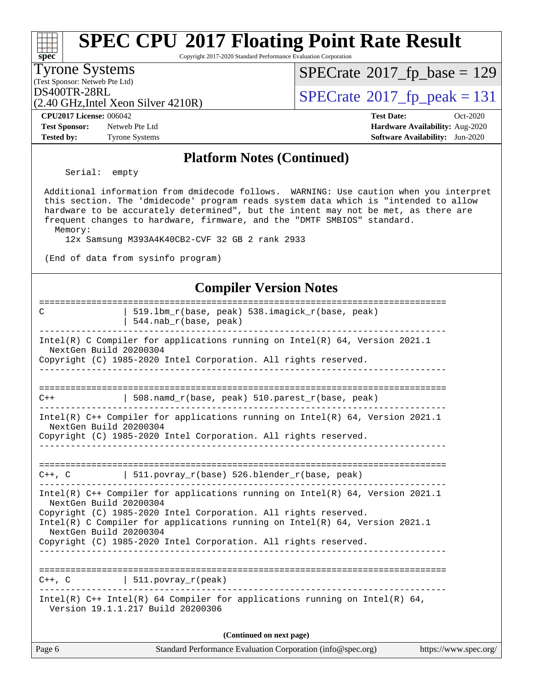#### Page 6 Standard Performance Evaluation Corporation [\(info@spec.org\)](mailto:info@spec.org) <https://www.spec.org/> **[spec](http://www.spec.org/)**<sup>®</sup> **[SPEC CPU](http://www.spec.org/auto/cpu2017/Docs/result-fields.html#SPECCPU2017FloatingPointRateResult)[2017 Floating Point Rate Result](http://www.spec.org/auto/cpu2017/Docs/result-fields.html#SPECCPU2017FloatingPointRateResult)** Copyright 2017-2020 Standard Performance Evaluation Corporation (Test Sponsor: Netweb Pte Ltd) Tyrone Systems (2.40 GHz,Intel Xeon Silver 4210R)  $DS400TR-28RL$ <br>(2.40 GHz Intel Xeon Silver 4210R)  $SPECrate@2017_fp\_peak = 131$  $SPECrate@2017_fp\_peak = 131$  $SPECTate$ <sup>®</sup>[2017\\_fp\\_base =](http://www.spec.org/auto/cpu2017/Docs/result-fields.html#SPECrate2017fpbase) 129 **[CPU2017 License:](http://www.spec.org/auto/cpu2017/Docs/result-fields.html#CPU2017License)** 006042 **[Test Date:](http://www.spec.org/auto/cpu2017/Docs/result-fields.html#TestDate)** Oct-2020 **[Test Sponsor:](http://www.spec.org/auto/cpu2017/Docs/result-fields.html#TestSponsor)** Netweb Pte Ltd **[Hardware Availability:](http://www.spec.org/auto/cpu2017/Docs/result-fields.html#HardwareAvailability)** Aug-2020 **[Tested by:](http://www.spec.org/auto/cpu2017/Docs/result-fields.html#Testedby)** Tyrone Systems **[Software Availability:](http://www.spec.org/auto/cpu2017/Docs/result-fields.html#SoftwareAvailability)** Jun-2020 **[Platform Notes \(Continued\)](http://www.spec.org/auto/cpu2017/Docs/result-fields.html#PlatformNotes)** Serial: empty Additional information from dmidecode follows. WARNING: Use caution when you interpret this section. The 'dmidecode' program reads system data which is "intended to allow hardware to be accurately determined", but the intent may not be met, as there are frequent changes to hardware, firmware, and the "DMTF SMBIOS" standard. Memory: 12x Samsung M393A4K40CB2-CVF 32 GB 2 rank 2933 (End of data from sysinfo program) **[Compiler Version Notes](http://www.spec.org/auto/cpu2017/Docs/result-fields.html#CompilerVersionNotes)** ============================================================================== C | 519.lbm\_r(base, peak) 538.imagick\_r(base, peak) | 544.nab\_r(base, peak) ------------------------------------------------------------------------------ Intel(R) C Compiler for applications running on Intel(R) 64, Version 2021.1 NextGen Build 20200304 Copyright (C) 1985-2020 Intel Corporation. All rights reserved. ------------------------------------------------------------------------------ ==============================================================================  $C++$  | 508.namd\_r(base, peak) 510.parest\_r(base, peak) ------------------------------------------------------------------------------ Intel(R) C++ Compiler for applications running on Intel(R) 64, Version 2021.1 NextGen Build 20200304 Copyright (C) 1985-2020 Intel Corporation. All rights reserved. ------------------------------------------------------------------------------ ==============================================================================  $C++$ ,  $C$  | 511.povray\_r(base) 526.blender\_r(base, peak) ------------------------------------------------------------------------------ Intel(R) C++ Compiler for applications running on Intel(R) 64, Version 2021.1 NextGen Build 20200304 Copyright (C) 1985-2020 Intel Corporation. All rights reserved. Intel(R) C Compiler for applications running on Intel(R) 64, Version 2021.1 NextGen Build 20200304 Copyright (C) 1985-2020 Intel Corporation. All rights reserved. ------------------------------------------------------------------------------ ==============================================================================  $C++$ ,  $C$  | 511.povray\_r(peak) ------------------------------------------------------------------------------ Intel(R) C++ Intel(R) 64 Compiler for applications running on Intel(R) 64, Version 19.1.1.217 Build 20200306 **(Continued on next page)**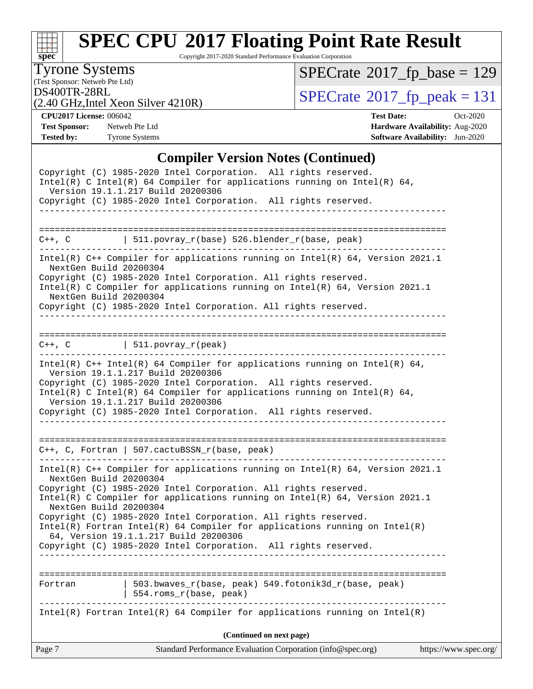

Copyright 2017-2020 Standard Performance Evaluation Corporation

(Test Sponsor: Netweb Pte Ltd) Tyrone Systems

 $SPECrate$ <sup>®</sup>[2017\\_fp\\_base =](http://www.spec.org/auto/cpu2017/Docs/result-fields.html#SPECrate2017fpbase) 129

(2.40 GHz,Intel Xeon Silver 4210R)

DS400TR-28RL<br> $(2.40 \text{ GHz Intel Xeon Silver } 4210R)$  [SPECrate](http://www.spec.org/auto/cpu2017/Docs/result-fields.html#SPECrate2017fppeak)®[2017\\_fp\\_peak = 1](http://www.spec.org/auto/cpu2017/Docs/result-fields.html#SPECrate2017fppeak)31

**[CPU2017 License:](http://www.spec.org/auto/cpu2017/Docs/result-fields.html#CPU2017License)** 006042 **[Test Date:](http://www.spec.org/auto/cpu2017/Docs/result-fields.html#TestDate)** Oct-2020 **[Test Sponsor:](http://www.spec.org/auto/cpu2017/Docs/result-fields.html#TestSponsor)** Netweb Pte Ltd **[Hardware Availability:](http://www.spec.org/auto/cpu2017/Docs/result-fields.html#HardwareAvailability)** Aug-2020 **[Tested by:](http://www.spec.org/auto/cpu2017/Docs/result-fields.html#Testedby)** Tyrone Systems **[Software Availability:](http://www.spec.org/auto/cpu2017/Docs/result-fields.html#SoftwareAvailability)** Jun-2020

#### **[Compiler Version Notes \(Continued\)](http://www.spec.org/auto/cpu2017/Docs/result-fields.html#CompilerVersionNotes)**

|                                                  | Copyright (C) 1985-2020 Intel Corporation. All rights reserved.<br>Intel(R) C Intel(R) 64 Compiler for applications running on Intel(R) 64,<br>Version 19.1.1.217 Build 20200306                                                                                                                                                                                                                                                                                                                  |                       |
|--------------------------------------------------|---------------------------------------------------------------------------------------------------------------------------------------------------------------------------------------------------------------------------------------------------------------------------------------------------------------------------------------------------------------------------------------------------------------------------------------------------------------------------------------------------|-----------------------|
|                                                  | Copyright (C) 1985-2020 Intel Corporation. All rights reserved.<br>-----------------------------                                                                                                                                                                                                                                                                                                                                                                                                  |                       |
|                                                  |                                                                                                                                                                                                                                                                                                                                                                                                                                                                                                   |                       |
|                                                  | C++, C $  511.povray_r(base) 526.blender_r(base, peak)$                                                                                                                                                                                                                                                                                                                                                                                                                                           |                       |
| NextGen Build 20200304<br>NextGen Build 20200304 | Intel(R) C++ Compiler for applications running on Intel(R) 64, Version 2021.1<br>Copyright (C) 1985-2020 Intel Corporation. All rights reserved.<br>Intel(R) C Compiler for applications running on Intel(R) 64, Version 2021.1<br>Copyright (C) 1985-2020 Intel Corporation. All rights reserved.                                                                                                                                                                                                |                       |
|                                                  | $C++$ , C $\qquad \qquad \vert$ 511.povray_r(peak)                                                                                                                                                                                                                                                                                                                                                                                                                                                |                       |
|                                                  | Intel(R) $C++$ Intel(R) 64 Compiler for applications running on Intel(R) 64,<br>Version 19.1.1.217 Build 20200306<br>Copyright (C) 1985-2020 Intel Corporation. All rights reserved.<br>Intel(R) C Intel(R) 64 Compiler for applications running on Intel(R) 64,<br>Version 19.1.1.217 Build 20200306<br>Copyright (C) 1985-2020 Intel Corporation. All rights reserved.                                                                                                                          |                       |
| . _ _ _ _ _ _ _ _ _ _ _ _ _ _ _ _ _              | $C++$ , C, Fortran   507.cactuBSSN_r(base, peak)<br>---------------<br>------------------------------------                                                                                                                                                                                                                                                                                                                                                                                       |                       |
| NextGen Build 20200304<br>NextGen Build 20200304 | Intel(R) C++ Compiler for applications running on Intel(R) 64, Version 2021.1<br>Copyright (C) 1985-2020 Intel Corporation. All rights reserved.<br>Intel(R) C Compiler for applications running on $Intel(R) 64$ , Version 2021.1<br>Copyright (C) 1985-2020 Intel Corporation. All rights reserved.<br>$Intel(R)$ Fortran Intel(R) 64 Compiler for applications running on Intel(R)<br>64, Version 19.1.1.217 Build 20200306<br>Copyright (C) 1985-2020 Intel Corporation. All rights reserved. |                       |
|                                                  |                                                                                                                                                                                                                                                                                                                                                                                                                                                                                                   |                       |
| Fortran                                          | 503.bwaves_r(base, peak) 549.fotonik3d_r(base, peak)<br>554.roms_r(base, peak)                                                                                                                                                                                                                                                                                                                                                                                                                    |                       |
|                                                  | $Intel(R)$ Fortran Intel(R) 64 Compiler for applications running on Intel(R)                                                                                                                                                                                                                                                                                                                                                                                                                      |                       |
|                                                  | (Continued on next page)                                                                                                                                                                                                                                                                                                                                                                                                                                                                          |                       |
| Page 7                                           | Standard Performance Evaluation Corporation (info@spec.org)                                                                                                                                                                                                                                                                                                                                                                                                                                       | https://www.spec.org/ |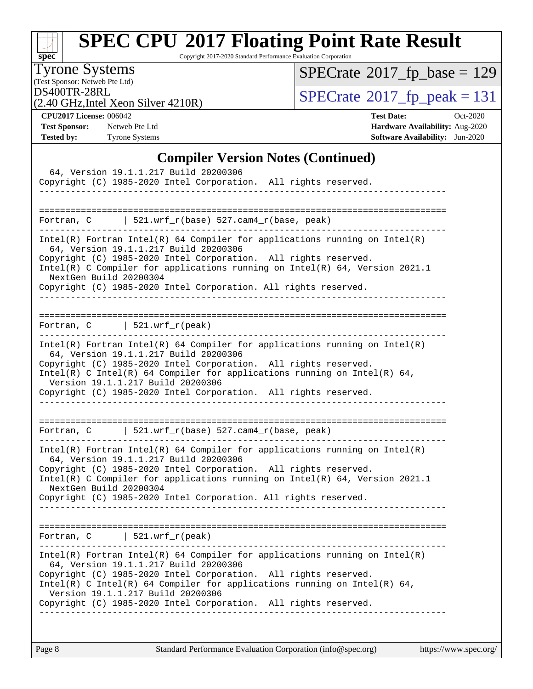

Copyright 2017-2020 Standard Performance Evaluation Corporation

(Test Sponsor: Netweb Pte Ltd) Tyrone Systems

 $SPECrate$ <sup>®</sup>[2017\\_fp\\_base =](http://www.spec.org/auto/cpu2017/Docs/result-fields.html#SPECrate2017fpbase) 129

(2.40 GHz,Intel Xeon Silver 4210R)

DS400TR-28RL<br> $(2.40 \text{ GHz Intel Xeon Silver } 4210R)$  [SPECrate](http://www.spec.org/auto/cpu2017/Docs/result-fields.html#SPECrate2017fppeak)®[2017\\_fp\\_peak = 1](http://www.spec.org/auto/cpu2017/Docs/result-fields.html#SPECrate2017fppeak)31

**[CPU2017 License:](http://www.spec.org/auto/cpu2017/Docs/result-fields.html#CPU2017License)** 006042 **[Test Date:](http://www.spec.org/auto/cpu2017/Docs/result-fields.html#TestDate)** Oct-2020 **[Test Sponsor:](http://www.spec.org/auto/cpu2017/Docs/result-fields.html#TestSponsor)** Netweb Pte Ltd **[Hardware Availability:](http://www.spec.org/auto/cpu2017/Docs/result-fields.html#HardwareAvailability)** Aug-2020 **[Tested by:](http://www.spec.org/auto/cpu2017/Docs/result-fields.html#Testedby)** Tyrone Systems **[Software Availability:](http://www.spec.org/auto/cpu2017/Docs/result-fields.html#SoftwareAvailability)** Jun-2020

### **[Compiler Version Notes \(Continued\)](http://www.spec.org/auto/cpu2017/Docs/result-fields.html#CompilerVersionNotes)**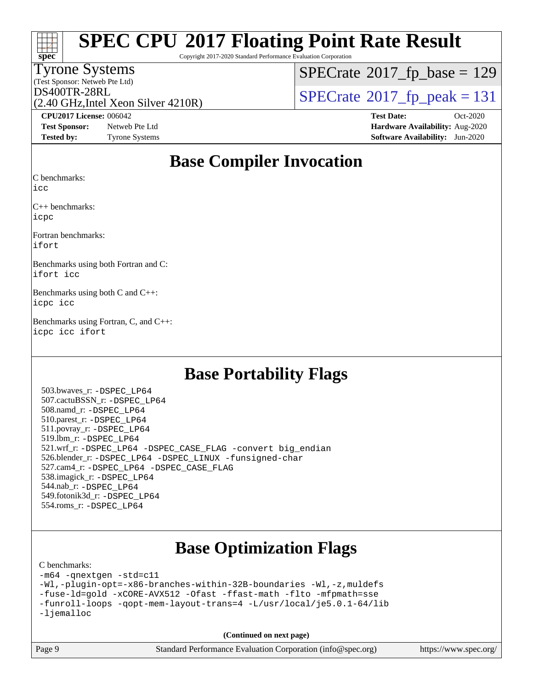| ×,<br>ŧ |  |  |  |  |  |  |  |
|---------|--|--|--|--|--|--|--|

Copyright 2017-2020 Standard Performance Evaluation Corporation

### Tyrone Systems

(Test Sponsor: Netweb Pte Ltd)

 $SPECTate$ <sup>®</sup>[2017\\_fp\\_base =](http://www.spec.org/auto/cpu2017/Docs/result-fields.html#SPECrate2017fpbase) 129

(2.40 GHz,Intel Xeon Silver 4210R)

 $DS400TR-28RL$ <br>(2.40 GHz Intel Xeon Silver 4210R)  $SPECrate@2017_fp\_peak = 131$  $SPECrate@2017_fp\_peak = 131$ 

**[Test Sponsor:](http://www.spec.org/auto/cpu2017/Docs/result-fields.html#TestSponsor)** Netweb Pte Ltd **[Hardware Availability:](http://www.spec.org/auto/cpu2017/Docs/result-fields.html#HardwareAvailability)** Aug-2020 **[Tested by:](http://www.spec.org/auto/cpu2017/Docs/result-fields.html#Testedby)** Tyrone Systems **[Software Availability:](http://www.spec.org/auto/cpu2017/Docs/result-fields.html#SoftwareAvailability)** Jun-2020

**[CPU2017 License:](http://www.spec.org/auto/cpu2017/Docs/result-fields.html#CPU2017License)** 006042 **[Test Date:](http://www.spec.org/auto/cpu2017/Docs/result-fields.html#TestDate)** Oct-2020

### **[Base Compiler Invocation](http://www.spec.org/auto/cpu2017/Docs/result-fields.html#BaseCompilerInvocation)**

[C benchmarks](http://www.spec.org/auto/cpu2017/Docs/result-fields.html#Cbenchmarks):

[icc](http://www.spec.org/cpu2017/results/res2020q4/cpu2017-20201012-24151.flags.html#user_CCbase_intel_icc_66fc1ee009f7361af1fbd72ca7dcefbb700085f36577c54f309893dd4ec40d12360134090235512931783d35fd58c0460139e722d5067c5574d8eaf2b3e37e92)

[C++ benchmarks](http://www.spec.org/auto/cpu2017/Docs/result-fields.html#CXXbenchmarks): [icpc](http://www.spec.org/cpu2017/results/res2020q4/cpu2017-20201012-24151.flags.html#user_CXXbase_intel_icpc_c510b6838c7f56d33e37e94d029a35b4a7bccf4766a728ee175e80a419847e808290a9b78be685c44ab727ea267ec2f070ec5dc83b407c0218cded6866a35d07)

[Fortran benchmarks:](http://www.spec.org/auto/cpu2017/Docs/result-fields.html#Fortranbenchmarks) [ifort](http://www.spec.org/cpu2017/results/res2020q4/cpu2017-20201012-24151.flags.html#user_FCbase_intel_ifort_8111460550e3ca792625aed983ce982f94888b8b503583aa7ba2b8303487b4d8a21a13e7191a45c5fd58ff318f48f9492884d4413fa793fd88dd292cad7027ca)

[Benchmarks using both Fortran and C](http://www.spec.org/auto/cpu2017/Docs/result-fields.html#BenchmarksusingbothFortranandC): [ifort](http://www.spec.org/cpu2017/results/res2020q4/cpu2017-20201012-24151.flags.html#user_CC_FCbase_intel_ifort_8111460550e3ca792625aed983ce982f94888b8b503583aa7ba2b8303487b4d8a21a13e7191a45c5fd58ff318f48f9492884d4413fa793fd88dd292cad7027ca) [icc](http://www.spec.org/cpu2017/results/res2020q4/cpu2017-20201012-24151.flags.html#user_CC_FCbase_intel_icc_66fc1ee009f7361af1fbd72ca7dcefbb700085f36577c54f309893dd4ec40d12360134090235512931783d35fd58c0460139e722d5067c5574d8eaf2b3e37e92)

[Benchmarks using both C and C++:](http://www.spec.org/auto/cpu2017/Docs/result-fields.html#BenchmarksusingbothCandCXX) [icpc](http://www.spec.org/cpu2017/results/res2020q4/cpu2017-20201012-24151.flags.html#user_CC_CXXbase_intel_icpc_c510b6838c7f56d33e37e94d029a35b4a7bccf4766a728ee175e80a419847e808290a9b78be685c44ab727ea267ec2f070ec5dc83b407c0218cded6866a35d07) [icc](http://www.spec.org/cpu2017/results/res2020q4/cpu2017-20201012-24151.flags.html#user_CC_CXXbase_intel_icc_66fc1ee009f7361af1fbd72ca7dcefbb700085f36577c54f309893dd4ec40d12360134090235512931783d35fd58c0460139e722d5067c5574d8eaf2b3e37e92)

[Benchmarks using Fortran, C, and C++](http://www.spec.org/auto/cpu2017/Docs/result-fields.html#BenchmarksusingFortranCandCXX): [icpc](http://www.spec.org/cpu2017/results/res2020q4/cpu2017-20201012-24151.flags.html#user_CC_CXX_FCbase_intel_icpc_c510b6838c7f56d33e37e94d029a35b4a7bccf4766a728ee175e80a419847e808290a9b78be685c44ab727ea267ec2f070ec5dc83b407c0218cded6866a35d07) [icc](http://www.spec.org/cpu2017/results/res2020q4/cpu2017-20201012-24151.flags.html#user_CC_CXX_FCbase_intel_icc_66fc1ee009f7361af1fbd72ca7dcefbb700085f36577c54f309893dd4ec40d12360134090235512931783d35fd58c0460139e722d5067c5574d8eaf2b3e37e92) [ifort](http://www.spec.org/cpu2017/results/res2020q4/cpu2017-20201012-24151.flags.html#user_CC_CXX_FCbase_intel_ifort_8111460550e3ca792625aed983ce982f94888b8b503583aa7ba2b8303487b4d8a21a13e7191a45c5fd58ff318f48f9492884d4413fa793fd88dd292cad7027ca)

### **[Base Portability Flags](http://www.spec.org/auto/cpu2017/Docs/result-fields.html#BasePortabilityFlags)**

 503.bwaves\_r: [-DSPEC\\_LP64](http://www.spec.org/cpu2017/results/res2020q4/cpu2017-20201012-24151.flags.html#suite_basePORTABILITY503_bwaves_r_DSPEC_LP64) 507.cactuBSSN\_r: [-DSPEC\\_LP64](http://www.spec.org/cpu2017/results/res2020q4/cpu2017-20201012-24151.flags.html#suite_basePORTABILITY507_cactuBSSN_r_DSPEC_LP64) 508.namd\_r: [-DSPEC\\_LP64](http://www.spec.org/cpu2017/results/res2020q4/cpu2017-20201012-24151.flags.html#suite_basePORTABILITY508_namd_r_DSPEC_LP64) 510.parest\_r: [-DSPEC\\_LP64](http://www.spec.org/cpu2017/results/res2020q4/cpu2017-20201012-24151.flags.html#suite_basePORTABILITY510_parest_r_DSPEC_LP64) 511.povray\_r: [-DSPEC\\_LP64](http://www.spec.org/cpu2017/results/res2020q4/cpu2017-20201012-24151.flags.html#suite_basePORTABILITY511_povray_r_DSPEC_LP64) 519.lbm\_r: [-DSPEC\\_LP64](http://www.spec.org/cpu2017/results/res2020q4/cpu2017-20201012-24151.flags.html#suite_basePORTABILITY519_lbm_r_DSPEC_LP64) 521.wrf\_r: [-DSPEC\\_LP64](http://www.spec.org/cpu2017/results/res2020q4/cpu2017-20201012-24151.flags.html#suite_basePORTABILITY521_wrf_r_DSPEC_LP64) [-DSPEC\\_CASE\\_FLAG](http://www.spec.org/cpu2017/results/res2020q4/cpu2017-20201012-24151.flags.html#b521.wrf_r_baseCPORTABILITY_DSPEC_CASE_FLAG) [-convert big\\_endian](http://www.spec.org/cpu2017/results/res2020q4/cpu2017-20201012-24151.flags.html#user_baseFPORTABILITY521_wrf_r_convert_big_endian_c3194028bc08c63ac5d04de18c48ce6d347e4e562e8892b8bdbdc0214820426deb8554edfa529a3fb25a586e65a3d812c835984020483e7e73212c4d31a38223) 526.blender\_r: [-DSPEC\\_LP64](http://www.spec.org/cpu2017/results/res2020q4/cpu2017-20201012-24151.flags.html#suite_basePORTABILITY526_blender_r_DSPEC_LP64) [-DSPEC\\_LINUX](http://www.spec.org/cpu2017/results/res2020q4/cpu2017-20201012-24151.flags.html#b526.blender_r_baseCPORTABILITY_DSPEC_LINUX) [-funsigned-char](http://www.spec.org/cpu2017/results/res2020q4/cpu2017-20201012-24151.flags.html#user_baseCPORTABILITY526_blender_r_force_uchar_40c60f00ab013830e2dd6774aeded3ff59883ba5a1fc5fc14077f794d777847726e2a5858cbc7672e36e1b067e7e5c1d9a74f7176df07886a243d7cc18edfe67) 527.cam4\_r: [-DSPEC\\_LP64](http://www.spec.org/cpu2017/results/res2020q4/cpu2017-20201012-24151.flags.html#suite_basePORTABILITY527_cam4_r_DSPEC_LP64) [-DSPEC\\_CASE\\_FLAG](http://www.spec.org/cpu2017/results/res2020q4/cpu2017-20201012-24151.flags.html#b527.cam4_r_baseCPORTABILITY_DSPEC_CASE_FLAG) 538.imagick\_r: [-DSPEC\\_LP64](http://www.spec.org/cpu2017/results/res2020q4/cpu2017-20201012-24151.flags.html#suite_basePORTABILITY538_imagick_r_DSPEC_LP64) 544.nab\_r: [-DSPEC\\_LP64](http://www.spec.org/cpu2017/results/res2020q4/cpu2017-20201012-24151.flags.html#suite_basePORTABILITY544_nab_r_DSPEC_LP64) 549.fotonik3d\_r: [-DSPEC\\_LP64](http://www.spec.org/cpu2017/results/res2020q4/cpu2017-20201012-24151.flags.html#suite_basePORTABILITY549_fotonik3d_r_DSPEC_LP64) 554.roms\_r: [-DSPEC\\_LP64](http://www.spec.org/cpu2017/results/res2020q4/cpu2017-20201012-24151.flags.html#suite_basePORTABILITY554_roms_r_DSPEC_LP64)

## **[Base Optimization Flags](http://www.spec.org/auto/cpu2017/Docs/result-fields.html#BaseOptimizationFlags)**

#### [C benchmarks](http://www.spec.org/auto/cpu2017/Docs/result-fields.html#Cbenchmarks):

[-m64](http://www.spec.org/cpu2017/results/res2020q4/cpu2017-20201012-24151.flags.html#user_CCbase_m64-icc) [-qnextgen](http://www.spec.org/cpu2017/results/res2020q4/cpu2017-20201012-24151.flags.html#user_CCbase_f-qnextgen) [-std=c11](http://www.spec.org/cpu2017/results/res2020q4/cpu2017-20201012-24151.flags.html#user_CCbase_std-icc-std_0e1c27790398a4642dfca32ffe6c27b5796f9c2d2676156f2e42c9c44eaad0c049b1cdb667a270c34d979996257aeb8fc440bfb01818dbc9357bd9d174cb8524) [-Wl,-plugin-opt=-x86-branches-within-32B-boundaries](http://www.spec.org/cpu2017/results/res2020q4/cpu2017-20201012-24151.flags.html#user_CCbase_f-x86-branches-within-32B-boundaries_0098b4e4317ae60947b7b728078a624952a08ac37a3c797dfb4ffeb399e0c61a9dd0f2f44ce917e9361fb9076ccb15e7824594512dd315205382d84209e912f3) [-Wl,-z,muldefs](http://www.spec.org/cpu2017/results/res2020q4/cpu2017-20201012-24151.flags.html#user_CCbase_link_force_multiple1_b4cbdb97b34bdee9ceefcfe54f4c8ea74255f0b02a4b23e853cdb0e18eb4525ac79b5a88067c842dd0ee6996c24547a27a4b99331201badda8798ef8a743f577) [-fuse-ld=gold](http://www.spec.org/cpu2017/results/res2020q4/cpu2017-20201012-24151.flags.html#user_CCbase_f-fuse-ld_920b3586e2b8c6e0748b9c84fa9b744736ba725a32cab14ad8f3d4ad28eecb2f59d1144823d2e17006539a88734fe1fc08fc3035f7676166309105a78aaabc32) [-xCORE-AVX512](http://www.spec.org/cpu2017/results/res2020q4/cpu2017-20201012-24151.flags.html#user_CCbase_f-xCORE-AVX512) [-Ofast](http://www.spec.org/cpu2017/results/res2020q4/cpu2017-20201012-24151.flags.html#user_CCbase_f-Ofast) [-ffast-math](http://www.spec.org/cpu2017/results/res2020q4/cpu2017-20201012-24151.flags.html#user_CCbase_f-ffast-math) [-flto](http://www.spec.org/cpu2017/results/res2020q4/cpu2017-20201012-24151.flags.html#user_CCbase_f-flto) [-mfpmath=sse](http://www.spec.org/cpu2017/results/res2020q4/cpu2017-20201012-24151.flags.html#user_CCbase_f-mfpmath_70eb8fac26bde974f8ab713bc9086c5621c0b8d2f6c86f38af0bd7062540daf19db5f3a066d8c6684be05d84c9b6322eb3b5be6619d967835195b93d6c02afa1) [-funroll-loops](http://www.spec.org/cpu2017/results/res2020q4/cpu2017-20201012-24151.flags.html#user_CCbase_f-funroll-loops) [-qopt-mem-layout-trans=4](http://www.spec.org/cpu2017/results/res2020q4/cpu2017-20201012-24151.flags.html#user_CCbase_f-qopt-mem-layout-trans_fa39e755916c150a61361b7846f310bcdf6f04e385ef281cadf3647acec3f0ae266d1a1d22d972a7087a248fd4e6ca390a3634700869573d231a252c784941a8) [-L/usr/local/je5.0.1-64/lib](http://www.spec.org/cpu2017/results/res2020q4/cpu2017-20201012-24151.flags.html#user_CCbase_jemalloc_link_path64_4b10a636b7bce113509b17f3bd0d6226c5fb2346b9178c2d0232c14f04ab830f976640479e5c33dc2bcbbdad86ecfb6634cbbd4418746f06f368b512fced5394) [-ljemalloc](http://www.spec.org/cpu2017/results/res2020q4/cpu2017-20201012-24151.flags.html#user_CCbase_jemalloc_link_lib_d1249b907c500fa1c0672f44f562e3d0f79738ae9e3c4a9c376d49f265a04b9c99b167ecedbf6711b3085be911c67ff61f150a17b3472be731631ba4d0471706)

**(Continued on next page)**



Page 9 Standard Performance Evaluation Corporation [\(info@spec.org\)](mailto:info@spec.org) <https://www.spec.org/>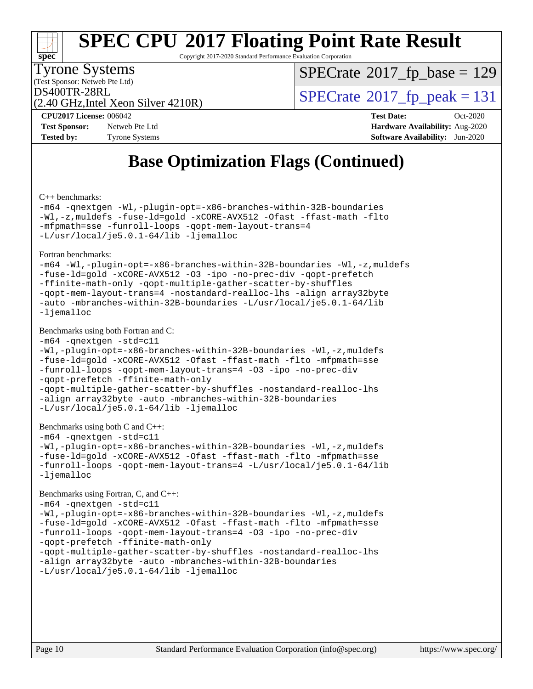

Copyright 2017-2020 Standard Performance Evaluation Corporation

(Test Sponsor: Netweb Pte Ltd) Tyrone Systems

 $SPECTate$ <sup>®</sup>[2017\\_fp\\_base =](http://www.spec.org/auto/cpu2017/Docs/result-fields.html#SPECrate2017fpbase) 129

(2.40 GHz,Intel Xeon Silver 4210R)

 $DS400TR-28RL$ <br>(2.40 GHz Intel Xeon Silver 4210R)  $SPECrate^{\circ}2017$  $SPECrate^{\circ}2017$  [p\_peak = 131

**[Test Sponsor:](http://www.spec.org/auto/cpu2017/Docs/result-fields.html#TestSponsor)** Netweb Pte Ltd **[Hardware Availability:](http://www.spec.org/auto/cpu2017/Docs/result-fields.html#HardwareAvailability)** Aug-2020 **[Tested by:](http://www.spec.org/auto/cpu2017/Docs/result-fields.html#Testedby)** Tyrone Systems **[Software Availability:](http://www.spec.org/auto/cpu2017/Docs/result-fields.html#SoftwareAvailability)** Jun-2020

**[CPU2017 License:](http://www.spec.org/auto/cpu2017/Docs/result-fields.html#CPU2017License)** 006042 **[Test Date:](http://www.spec.org/auto/cpu2017/Docs/result-fields.html#TestDate)** Oct-2020

## **[Base Optimization Flags \(Continued\)](http://www.spec.org/auto/cpu2017/Docs/result-fields.html#BaseOptimizationFlags)**

[C++ benchmarks:](http://www.spec.org/auto/cpu2017/Docs/result-fields.html#CXXbenchmarks)

[-m64](http://www.spec.org/cpu2017/results/res2020q4/cpu2017-20201012-24151.flags.html#user_CXXbase_m64-icc) [-qnextgen](http://www.spec.org/cpu2017/results/res2020q4/cpu2017-20201012-24151.flags.html#user_CXXbase_f-qnextgen) [-Wl,-plugin-opt=-x86-branches-within-32B-boundaries](http://www.spec.org/cpu2017/results/res2020q4/cpu2017-20201012-24151.flags.html#user_CXXbase_f-x86-branches-within-32B-boundaries_0098b4e4317ae60947b7b728078a624952a08ac37a3c797dfb4ffeb399e0c61a9dd0f2f44ce917e9361fb9076ccb15e7824594512dd315205382d84209e912f3) [-Wl,-z,muldefs](http://www.spec.org/cpu2017/results/res2020q4/cpu2017-20201012-24151.flags.html#user_CXXbase_link_force_multiple1_b4cbdb97b34bdee9ceefcfe54f4c8ea74255f0b02a4b23e853cdb0e18eb4525ac79b5a88067c842dd0ee6996c24547a27a4b99331201badda8798ef8a743f577) [-fuse-ld=gold](http://www.spec.org/cpu2017/results/res2020q4/cpu2017-20201012-24151.flags.html#user_CXXbase_f-fuse-ld_920b3586e2b8c6e0748b9c84fa9b744736ba725a32cab14ad8f3d4ad28eecb2f59d1144823d2e17006539a88734fe1fc08fc3035f7676166309105a78aaabc32) [-xCORE-AVX512](http://www.spec.org/cpu2017/results/res2020q4/cpu2017-20201012-24151.flags.html#user_CXXbase_f-xCORE-AVX512) [-Ofast](http://www.spec.org/cpu2017/results/res2020q4/cpu2017-20201012-24151.flags.html#user_CXXbase_f-Ofast) [-ffast-math](http://www.spec.org/cpu2017/results/res2020q4/cpu2017-20201012-24151.flags.html#user_CXXbase_f-ffast-math) [-flto](http://www.spec.org/cpu2017/results/res2020q4/cpu2017-20201012-24151.flags.html#user_CXXbase_f-flto) [-mfpmath=sse](http://www.spec.org/cpu2017/results/res2020q4/cpu2017-20201012-24151.flags.html#user_CXXbase_f-mfpmath_70eb8fac26bde974f8ab713bc9086c5621c0b8d2f6c86f38af0bd7062540daf19db5f3a066d8c6684be05d84c9b6322eb3b5be6619d967835195b93d6c02afa1) [-funroll-loops](http://www.spec.org/cpu2017/results/res2020q4/cpu2017-20201012-24151.flags.html#user_CXXbase_f-funroll-loops) [-qopt-mem-layout-trans=4](http://www.spec.org/cpu2017/results/res2020q4/cpu2017-20201012-24151.flags.html#user_CXXbase_f-qopt-mem-layout-trans_fa39e755916c150a61361b7846f310bcdf6f04e385ef281cadf3647acec3f0ae266d1a1d22d972a7087a248fd4e6ca390a3634700869573d231a252c784941a8) [-L/usr/local/je5.0.1-64/lib](http://www.spec.org/cpu2017/results/res2020q4/cpu2017-20201012-24151.flags.html#user_CXXbase_jemalloc_link_path64_4b10a636b7bce113509b17f3bd0d6226c5fb2346b9178c2d0232c14f04ab830f976640479e5c33dc2bcbbdad86ecfb6634cbbd4418746f06f368b512fced5394) [-ljemalloc](http://www.spec.org/cpu2017/results/res2020q4/cpu2017-20201012-24151.flags.html#user_CXXbase_jemalloc_link_lib_d1249b907c500fa1c0672f44f562e3d0f79738ae9e3c4a9c376d49f265a04b9c99b167ecedbf6711b3085be911c67ff61f150a17b3472be731631ba4d0471706)

[Fortran benchmarks](http://www.spec.org/auto/cpu2017/Docs/result-fields.html#Fortranbenchmarks):

[-m64](http://www.spec.org/cpu2017/results/res2020q4/cpu2017-20201012-24151.flags.html#user_FCbase_m64-icc) [-Wl,-plugin-opt=-x86-branches-within-32B-boundaries](http://www.spec.org/cpu2017/results/res2020q4/cpu2017-20201012-24151.flags.html#user_FCbase_f-x86-branches-within-32B-boundaries_0098b4e4317ae60947b7b728078a624952a08ac37a3c797dfb4ffeb399e0c61a9dd0f2f44ce917e9361fb9076ccb15e7824594512dd315205382d84209e912f3) [-Wl,-z,muldefs](http://www.spec.org/cpu2017/results/res2020q4/cpu2017-20201012-24151.flags.html#user_FCbase_link_force_multiple1_b4cbdb97b34bdee9ceefcfe54f4c8ea74255f0b02a4b23e853cdb0e18eb4525ac79b5a88067c842dd0ee6996c24547a27a4b99331201badda8798ef8a743f577) [-fuse-ld=gold](http://www.spec.org/cpu2017/results/res2020q4/cpu2017-20201012-24151.flags.html#user_FCbase_f-fuse-ld_920b3586e2b8c6e0748b9c84fa9b744736ba725a32cab14ad8f3d4ad28eecb2f59d1144823d2e17006539a88734fe1fc08fc3035f7676166309105a78aaabc32) [-xCORE-AVX512](http://www.spec.org/cpu2017/results/res2020q4/cpu2017-20201012-24151.flags.html#user_FCbase_f-xCORE-AVX512) [-O3](http://www.spec.org/cpu2017/results/res2020q4/cpu2017-20201012-24151.flags.html#user_FCbase_f-O3) [-ipo](http://www.spec.org/cpu2017/results/res2020q4/cpu2017-20201012-24151.flags.html#user_FCbase_f-ipo) [-no-prec-div](http://www.spec.org/cpu2017/results/res2020q4/cpu2017-20201012-24151.flags.html#user_FCbase_f-no-prec-div) [-qopt-prefetch](http://www.spec.org/cpu2017/results/res2020q4/cpu2017-20201012-24151.flags.html#user_FCbase_f-qopt-prefetch) [-ffinite-math-only](http://www.spec.org/cpu2017/results/res2020q4/cpu2017-20201012-24151.flags.html#user_FCbase_f_finite_math_only_cb91587bd2077682c4b38af759c288ed7c732db004271a9512da14a4f8007909a5f1427ecbf1a0fb78ff2a814402c6114ac565ca162485bbcae155b5e4258871) [-qopt-multiple-gather-scatter-by-shuffles](http://www.spec.org/cpu2017/results/res2020q4/cpu2017-20201012-24151.flags.html#user_FCbase_f-qopt-multiple-gather-scatter-by-shuffles) [-qopt-mem-layout-trans=4](http://www.spec.org/cpu2017/results/res2020q4/cpu2017-20201012-24151.flags.html#user_FCbase_f-qopt-mem-layout-trans_fa39e755916c150a61361b7846f310bcdf6f04e385ef281cadf3647acec3f0ae266d1a1d22d972a7087a248fd4e6ca390a3634700869573d231a252c784941a8) [-nostandard-realloc-lhs](http://www.spec.org/cpu2017/results/res2020q4/cpu2017-20201012-24151.flags.html#user_FCbase_f_2003_std_realloc_82b4557e90729c0f113870c07e44d33d6f5a304b4f63d4c15d2d0f1fab99f5daaed73bdb9275d9ae411527f28b936061aa8b9c8f2d63842963b95c9dd6426b8a) [-align array32byte](http://www.spec.org/cpu2017/results/res2020q4/cpu2017-20201012-24151.flags.html#user_FCbase_align_array32byte_b982fe038af199962ba9a80c053b8342c548c85b40b8e86eb3cc33dee0d7986a4af373ac2d51c3f7cf710a18d62fdce2948f201cd044323541f22fc0fffc51b6) [-auto](http://www.spec.org/cpu2017/results/res2020q4/cpu2017-20201012-24151.flags.html#user_FCbase_f-auto) [-mbranches-within-32B-boundaries](http://www.spec.org/cpu2017/results/res2020q4/cpu2017-20201012-24151.flags.html#user_FCbase_f-mbranches-within-32B-boundaries) [-L/usr/local/je5.0.1-64/lib](http://www.spec.org/cpu2017/results/res2020q4/cpu2017-20201012-24151.flags.html#user_FCbase_jemalloc_link_path64_4b10a636b7bce113509b17f3bd0d6226c5fb2346b9178c2d0232c14f04ab830f976640479e5c33dc2bcbbdad86ecfb6634cbbd4418746f06f368b512fced5394) [-ljemalloc](http://www.spec.org/cpu2017/results/res2020q4/cpu2017-20201012-24151.flags.html#user_FCbase_jemalloc_link_lib_d1249b907c500fa1c0672f44f562e3d0f79738ae9e3c4a9c376d49f265a04b9c99b167ecedbf6711b3085be911c67ff61f150a17b3472be731631ba4d0471706)

#### [Benchmarks using both Fortran and C](http://www.spec.org/auto/cpu2017/Docs/result-fields.html#BenchmarksusingbothFortranandC):

```
-m64 -qnextgen -std=c11
-Wl,-plugin-opt=-x86-branches-within-32B-boundaries -Wl,-z,muldefs
-fuse-ld=gold -xCORE-AVX512 -Ofast -ffast-math -flto -mfpmath=sse
-funroll-loops -qopt-mem-layout-trans=4 -O3 -ipo -no-prec-div
-qopt-prefetch -ffinite-math-only
-qopt-multiple-gather-scatter-by-shuffles -nostandard-realloc-lhs
-align array32byte -auto -mbranches-within-32B-boundaries
-L/usr/local/je5.0.1-64/lib -ljemalloc
```

```
Benchmarks using both C and C++:
```

```
-m64 -qnextgen -std=c11
```

```
-Wl,-plugin-opt=-x86-branches-within-32B-boundaries -Wl,-z,muldefs
-fuse-ld=gold -xCORE-AVX512 -Ofast -ffast-math -flto -mfpmath=sse
-funroll-loops -qopt-mem-layout-trans=4 -L/usr/local/je5.0.1-64/lib
-ljemalloc
```
#### [Benchmarks using Fortran, C, and C++:](http://www.spec.org/auto/cpu2017/Docs/result-fields.html#BenchmarksusingFortranCandCXX)

```
-m64 -qnextgen -std=c11
-Wl,-plugin-opt=-x86-branches-within-32B-boundaries -Wl,-z,muldefs
-fuse-ld=gold -xCORE-AVX512 -Ofast -ffast-math -flto -mfpmath=sse
-funroll-loops -qopt-mem-layout-trans=4 -O3 -ipo -no-prec-div
-qopt-prefetch -ffinite-math-only
-qopt-multiple-gather-scatter-by-shuffles -nostandard-realloc-lhs
-align array32byte -auto -mbranches-within-32B-boundaries
-L/usr/local/je5.0.1-64/lib -ljemalloc
```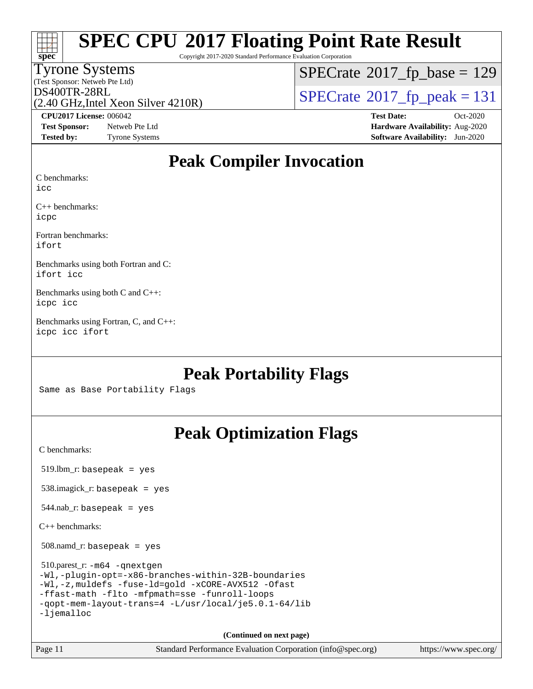| <b>SPEC CPU®2017 Floating Point Rate Result</b> |
|-------------------------------------------------|
|-------------------------------------------------|

Copyright 2017-2020 Standard Performance Evaluation Corporation

### Tyrone Systems

(Test Sponsor: Netweb Pte Ltd) (2.40 GHz,Intel Xeon Silver 4210R)  $SPECrate$ <sup>®</sup>[2017\\_fp\\_base =](http://www.spec.org/auto/cpu2017/Docs/result-fields.html#SPECrate2017fpbase) 129

 $D$ S400TR-28RL<br>(2.40 GHz Intel Xeon Silver 4210R)  $S$ PECrate®[2017\\_fp\\_peak = 1](http://www.spec.org/auto/cpu2017/Docs/result-fields.html#SPECrate2017fppeak)31

**[Test Sponsor:](http://www.spec.org/auto/cpu2017/Docs/result-fields.html#TestSponsor)** Netweb Pte Ltd **[Hardware Availability:](http://www.spec.org/auto/cpu2017/Docs/result-fields.html#HardwareAvailability)** Aug-2020 **[Tested by:](http://www.spec.org/auto/cpu2017/Docs/result-fields.html#Testedby)** Tyrone Systems **[Software Availability:](http://www.spec.org/auto/cpu2017/Docs/result-fields.html#SoftwareAvailability)** Jun-2020

**[CPU2017 License:](http://www.spec.org/auto/cpu2017/Docs/result-fields.html#CPU2017License)** 006042 **[Test Date:](http://www.spec.org/auto/cpu2017/Docs/result-fields.html#TestDate)** Oct-2020

### **[Peak Compiler Invocation](http://www.spec.org/auto/cpu2017/Docs/result-fields.html#PeakCompilerInvocation)**

[C benchmarks:](http://www.spec.org/auto/cpu2017/Docs/result-fields.html#Cbenchmarks)

[icc](http://www.spec.org/cpu2017/results/res2020q4/cpu2017-20201012-24151.flags.html#user_CCpeak_intel_icc_66fc1ee009f7361af1fbd72ca7dcefbb700085f36577c54f309893dd4ec40d12360134090235512931783d35fd58c0460139e722d5067c5574d8eaf2b3e37e92)

**[spec](http://www.spec.org/)**

[C++ benchmarks](http://www.spec.org/auto/cpu2017/Docs/result-fields.html#CXXbenchmarks): [icpc](http://www.spec.org/cpu2017/results/res2020q4/cpu2017-20201012-24151.flags.html#user_CXXpeak_intel_icpc_c510b6838c7f56d33e37e94d029a35b4a7bccf4766a728ee175e80a419847e808290a9b78be685c44ab727ea267ec2f070ec5dc83b407c0218cded6866a35d07)

[Fortran benchmarks:](http://www.spec.org/auto/cpu2017/Docs/result-fields.html#Fortranbenchmarks) [ifort](http://www.spec.org/cpu2017/results/res2020q4/cpu2017-20201012-24151.flags.html#user_FCpeak_intel_ifort_8111460550e3ca792625aed983ce982f94888b8b503583aa7ba2b8303487b4d8a21a13e7191a45c5fd58ff318f48f9492884d4413fa793fd88dd292cad7027ca)

[Benchmarks using both Fortran and C:](http://www.spec.org/auto/cpu2017/Docs/result-fields.html#BenchmarksusingbothFortranandC) [ifort](http://www.spec.org/cpu2017/results/res2020q4/cpu2017-20201012-24151.flags.html#user_CC_FCpeak_intel_ifort_8111460550e3ca792625aed983ce982f94888b8b503583aa7ba2b8303487b4d8a21a13e7191a45c5fd58ff318f48f9492884d4413fa793fd88dd292cad7027ca) [icc](http://www.spec.org/cpu2017/results/res2020q4/cpu2017-20201012-24151.flags.html#user_CC_FCpeak_intel_icc_66fc1ee009f7361af1fbd72ca7dcefbb700085f36577c54f309893dd4ec40d12360134090235512931783d35fd58c0460139e722d5067c5574d8eaf2b3e37e92)

[Benchmarks using both C and C++](http://www.spec.org/auto/cpu2017/Docs/result-fields.html#BenchmarksusingbothCandCXX): [icpc](http://www.spec.org/cpu2017/results/res2020q4/cpu2017-20201012-24151.flags.html#user_CC_CXXpeak_intel_icpc_c510b6838c7f56d33e37e94d029a35b4a7bccf4766a728ee175e80a419847e808290a9b78be685c44ab727ea267ec2f070ec5dc83b407c0218cded6866a35d07) [icc](http://www.spec.org/cpu2017/results/res2020q4/cpu2017-20201012-24151.flags.html#user_CC_CXXpeak_intel_icc_66fc1ee009f7361af1fbd72ca7dcefbb700085f36577c54f309893dd4ec40d12360134090235512931783d35fd58c0460139e722d5067c5574d8eaf2b3e37e92)

[Benchmarks using Fortran, C, and C++:](http://www.spec.org/auto/cpu2017/Docs/result-fields.html#BenchmarksusingFortranCandCXX) [icpc](http://www.spec.org/cpu2017/results/res2020q4/cpu2017-20201012-24151.flags.html#user_CC_CXX_FCpeak_intel_icpc_c510b6838c7f56d33e37e94d029a35b4a7bccf4766a728ee175e80a419847e808290a9b78be685c44ab727ea267ec2f070ec5dc83b407c0218cded6866a35d07) [icc](http://www.spec.org/cpu2017/results/res2020q4/cpu2017-20201012-24151.flags.html#user_CC_CXX_FCpeak_intel_icc_66fc1ee009f7361af1fbd72ca7dcefbb700085f36577c54f309893dd4ec40d12360134090235512931783d35fd58c0460139e722d5067c5574d8eaf2b3e37e92) [ifort](http://www.spec.org/cpu2017/results/res2020q4/cpu2017-20201012-24151.flags.html#user_CC_CXX_FCpeak_intel_ifort_8111460550e3ca792625aed983ce982f94888b8b503583aa7ba2b8303487b4d8a21a13e7191a45c5fd58ff318f48f9492884d4413fa793fd88dd292cad7027ca)

### **[Peak Portability Flags](http://www.spec.org/auto/cpu2017/Docs/result-fields.html#PeakPortabilityFlags)**

Same as Base Portability Flags

## **[Peak Optimization Flags](http://www.spec.org/auto/cpu2017/Docs/result-fields.html#PeakOptimizationFlags)**

[C benchmarks](http://www.spec.org/auto/cpu2017/Docs/result-fields.html#Cbenchmarks):

519.lbm\_r: basepeak = yes

538.imagick\_r: basepeak = yes

544.nab\_r: basepeak = yes

[C++ benchmarks:](http://www.spec.org/auto/cpu2017/Docs/result-fields.html#CXXbenchmarks)

508.namd\_r: basepeak = yes

| 510.parest_r: $-m64$ -qnextgen                          |
|---------------------------------------------------------|
| $-Wl$ ,-plugin-opt=-x86-branches-within-32B-boundaries  |
| $-Wl$ ,-z, muldefs -fuse-ld=qold -xCORE-AVX512 -Ofast   |
| -ffast-math -flto -mfpmath=sse -funroll-loops           |
| $-q$ opt-mem-layout-trans=4 -L/usr/local/je5.0.1-64/lib |
| $-l$ jemalloc                                           |

**(Continued on next page)**

Page 11 Standard Performance Evaluation Corporation [\(info@spec.org\)](mailto:info@spec.org) <https://www.spec.org/>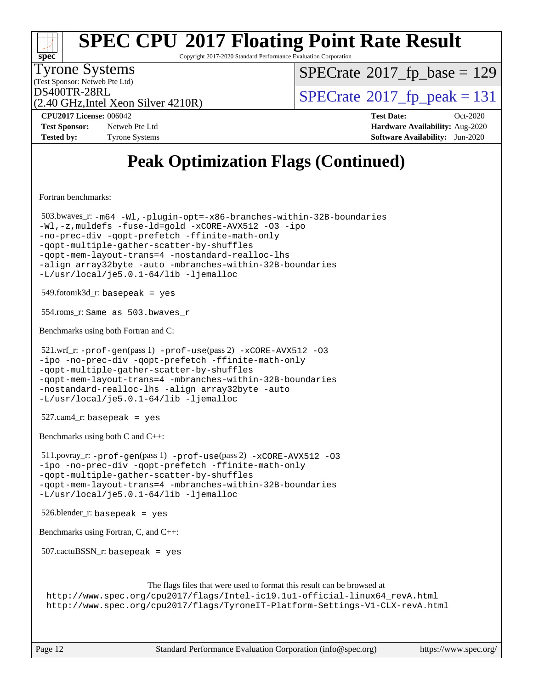#### **[spec](http://www.spec.org/) [SPEC CPU](http://www.spec.org/auto/cpu2017/Docs/result-fields.html#SPECCPU2017FloatingPointRateResult)[2017 Floating Point Rate Result](http://www.spec.org/auto/cpu2017/Docs/result-fields.html#SPECCPU2017FloatingPointRateResult)** Copyright 2017-2020 Standard Performance Evaluation Corporation (Test Sponsor: Netweb Pte Ltd) Tyrone Systems (2.40 GHz,Intel Xeon Silver 4210R)  $DS400TR-28RL$ <br>(2.40 GHz Intel Xeon Silver 4210R)  $SPECrate@2017_fp\_peak = 131$  $SPECrate@2017_fp\_peak = 131$  $SPECTate$ <sup>®</sup>[2017\\_fp\\_base =](http://www.spec.org/auto/cpu2017/Docs/result-fields.html#SPECrate2017fpbase) 129 **[CPU2017 License:](http://www.spec.org/auto/cpu2017/Docs/result-fields.html#CPU2017License)** 006042 **[Test Date:](http://www.spec.org/auto/cpu2017/Docs/result-fields.html#TestDate)** Oct-2020 **[Test Sponsor:](http://www.spec.org/auto/cpu2017/Docs/result-fields.html#TestSponsor)** Netweb Pte Ltd **[Hardware Availability:](http://www.spec.org/auto/cpu2017/Docs/result-fields.html#HardwareAvailability)** Aug-2020 **[Tested by:](http://www.spec.org/auto/cpu2017/Docs/result-fields.html#Testedby)** Tyrone Systems **[Software Availability:](http://www.spec.org/auto/cpu2017/Docs/result-fields.html#SoftwareAvailability)** Jun-2020 **[Peak Optimization Flags \(Continued\)](http://www.spec.org/auto/cpu2017/Docs/result-fields.html#PeakOptimizationFlags)** [Fortran benchmarks](http://www.spec.org/auto/cpu2017/Docs/result-fields.html#Fortranbenchmarks): 503.bwaves\_r: [-m64](http://www.spec.org/cpu2017/results/res2020q4/cpu2017-20201012-24151.flags.html#user_peakFCLD503_bwaves_r_m64-icc) [-Wl,-plugin-opt=-x86-branches-within-32B-boundaries](http://www.spec.org/cpu2017/results/res2020q4/cpu2017-20201012-24151.flags.html#user_peakLDFLAGS503_bwaves_r_f-x86-branches-within-32B-boundaries_0098b4e4317ae60947b7b728078a624952a08ac37a3c797dfb4ffeb399e0c61a9dd0f2f44ce917e9361fb9076ccb15e7824594512dd315205382d84209e912f3) [-Wl,-z,muldefs](http://www.spec.org/cpu2017/results/res2020q4/cpu2017-20201012-24151.flags.html#user_peakEXTRA_LDFLAGS503_bwaves_r_link_force_multiple1_b4cbdb97b34bdee9ceefcfe54f4c8ea74255f0b02a4b23e853cdb0e18eb4525ac79b5a88067c842dd0ee6996c24547a27a4b99331201badda8798ef8a743f577) [-fuse-ld=gold](http://www.spec.org/cpu2017/results/res2020q4/cpu2017-20201012-24151.flags.html#user_peakEXTRA_LDFLAGS503_bwaves_r_f-fuse-ld_920b3586e2b8c6e0748b9c84fa9b744736ba725a32cab14ad8f3d4ad28eecb2f59d1144823d2e17006539a88734fe1fc08fc3035f7676166309105a78aaabc32) [-xCORE-AVX512](http://www.spec.org/cpu2017/results/res2020q4/cpu2017-20201012-24151.flags.html#user_peakFOPTIMIZE503_bwaves_r_f-xCORE-AVX512) [-O3](http://www.spec.org/cpu2017/results/res2020q4/cpu2017-20201012-24151.flags.html#user_peakFOPTIMIZE503_bwaves_r_f-O3) [-ipo](http://www.spec.org/cpu2017/results/res2020q4/cpu2017-20201012-24151.flags.html#user_peakFOPTIMIZE503_bwaves_r_f-ipo) [-no-prec-div](http://www.spec.org/cpu2017/results/res2020q4/cpu2017-20201012-24151.flags.html#user_peakFOPTIMIZE503_bwaves_r_f-no-prec-div) [-qopt-prefetch](http://www.spec.org/cpu2017/results/res2020q4/cpu2017-20201012-24151.flags.html#user_peakFOPTIMIZE503_bwaves_r_f-qopt-prefetch) [-ffinite-math-only](http://www.spec.org/cpu2017/results/res2020q4/cpu2017-20201012-24151.flags.html#user_peakFOPTIMIZE503_bwaves_r_f_finite_math_only_cb91587bd2077682c4b38af759c288ed7c732db004271a9512da14a4f8007909a5f1427ecbf1a0fb78ff2a814402c6114ac565ca162485bbcae155b5e4258871) [-qopt-multiple-gather-scatter-by-shuffles](http://www.spec.org/cpu2017/results/res2020q4/cpu2017-20201012-24151.flags.html#user_peakFOPTIMIZE503_bwaves_r_f-qopt-multiple-gather-scatter-by-shuffles) [-qopt-mem-layout-trans=4](http://www.spec.org/cpu2017/results/res2020q4/cpu2017-20201012-24151.flags.html#user_peakFOPTIMIZE503_bwaves_r_f-qopt-mem-layout-trans_fa39e755916c150a61361b7846f310bcdf6f04e385ef281cadf3647acec3f0ae266d1a1d22d972a7087a248fd4e6ca390a3634700869573d231a252c784941a8) [-nostandard-realloc-lhs](http://www.spec.org/cpu2017/results/res2020q4/cpu2017-20201012-24151.flags.html#user_peakEXTRA_FOPTIMIZE503_bwaves_r_f_2003_std_realloc_82b4557e90729c0f113870c07e44d33d6f5a304b4f63d4c15d2d0f1fab99f5daaed73bdb9275d9ae411527f28b936061aa8b9c8f2d63842963b95c9dd6426b8a) [-align array32byte](http://www.spec.org/cpu2017/results/res2020q4/cpu2017-20201012-24151.flags.html#user_peakEXTRA_FOPTIMIZE503_bwaves_r_align_array32byte_b982fe038af199962ba9a80c053b8342c548c85b40b8e86eb3cc33dee0d7986a4af373ac2d51c3f7cf710a18d62fdce2948f201cd044323541f22fc0fffc51b6) [-auto](http://www.spec.org/cpu2017/results/res2020q4/cpu2017-20201012-24151.flags.html#user_peakEXTRA_FOPTIMIZE503_bwaves_r_f-auto) [-mbranches-within-32B-boundaries](http://www.spec.org/cpu2017/results/res2020q4/cpu2017-20201012-24151.flags.html#user_peakEXTRA_FOPTIMIZE503_bwaves_r_f-mbranches-within-32B-boundaries) [-L/usr/local/je5.0.1-64/lib](http://www.spec.org/cpu2017/results/res2020q4/cpu2017-20201012-24151.flags.html#user_peakEXTRA_LIBS503_bwaves_r_jemalloc_link_path64_4b10a636b7bce113509b17f3bd0d6226c5fb2346b9178c2d0232c14f04ab830f976640479e5c33dc2bcbbdad86ecfb6634cbbd4418746f06f368b512fced5394) [-ljemalloc](http://www.spec.org/cpu2017/results/res2020q4/cpu2017-20201012-24151.flags.html#user_peakEXTRA_LIBS503_bwaves_r_jemalloc_link_lib_d1249b907c500fa1c0672f44f562e3d0f79738ae9e3c4a9c376d49f265a04b9c99b167ecedbf6711b3085be911c67ff61f150a17b3472be731631ba4d0471706)  $549.$ fotonik $3d$ <sub>r</sub>: basepeak = yes 554.roms\_r: Same as 503.bwaves\_r [Benchmarks using both Fortran and C](http://www.spec.org/auto/cpu2017/Docs/result-fields.html#BenchmarksusingbothFortranandC): 521.wrf\_r:  $-\text{prof-qen}(pass 1)$   $-\text{prof-use}(pass 2)$   $-x\text{CORE-AVX512}$  [-O3](http://www.spec.org/cpu2017/results/res2020q4/cpu2017-20201012-24151.flags.html#user_peakCOPTIMIZEPASS1_COPTIMIZEPASS1_FOPTIMIZEPASS2_COPTIMIZEPASS2_FOPTIMIZE521_wrf_r_f-O3) [-ipo](http://www.spec.org/cpu2017/results/res2020q4/cpu2017-20201012-24151.flags.html#user_peakCOPTIMIZEPASS1_COPTIMIZEPASS1_FOPTIMIZEPASS2_COPTIMIZEPASS2_FOPTIMIZE521_wrf_r_f-ipo) [-no-prec-div](http://www.spec.org/cpu2017/results/res2020q4/cpu2017-20201012-24151.flags.html#user_peakCOPTIMIZEPASS1_COPTIMIZEPASS1_FOPTIMIZEPASS2_COPTIMIZEPASS2_FOPTIMIZE521_wrf_r_f-no-prec-div) [-qopt-prefetch](http://www.spec.org/cpu2017/results/res2020q4/cpu2017-20201012-24151.flags.html#user_peakCOPTIMIZEPASS1_COPTIMIZEPASS1_FOPTIMIZEPASS2_COPTIMIZEPASS2_FOPTIMIZE521_wrf_r_f-qopt-prefetch) [-ffinite-math-only](http://www.spec.org/cpu2017/results/res2020q4/cpu2017-20201012-24151.flags.html#user_peakCOPTIMIZEPASS1_COPTIMIZEPASS1_FOPTIMIZEPASS2_COPTIMIZEPASS2_FOPTIMIZE521_wrf_r_f_finite_math_only_cb91587bd2077682c4b38af759c288ed7c732db004271a9512da14a4f8007909a5f1427ecbf1a0fb78ff2a814402c6114ac565ca162485bbcae155b5e4258871) [-qopt-multiple-gather-scatter-by-shuffles](http://www.spec.org/cpu2017/results/res2020q4/cpu2017-20201012-24151.flags.html#user_peakCOPTIMIZEPASS1_COPTIMIZEPASS1_FOPTIMIZEPASS2_COPTIMIZEPASS2_FOPTIMIZE521_wrf_r_f-qopt-multiple-gather-scatter-by-shuffles) [-qopt-mem-layout-trans=4](http://www.spec.org/cpu2017/results/res2020q4/cpu2017-20201012-24151.flags.html#user_peakCOPTIMIZEFOPTIMIZEPASS1_COPTIMIZEPASS1_FOPTIMIZEPASS2_COPTIMIZEPASS2_FOPTIMIZE521_wrf_r_f-qopt-mem-layout-trans_fa39e755916c150a61361b7846f310bcdf6f04e385ef281cadf3647acec3f0ae266d1a1d22d972a7087a248fd4e6ca390a3634700869573d231a252c784941a8) [-mbranches-within-32B-boundaries](http://www.spec.org/cpu2017/results/res2020q4/cpu2017-20201012-24151.flags.html#user_peakEXTRA_COPTIMIZEEXTRA_FOPTIMIZE521_wrf_r_f-mbranches-within-32B-boundaries) [-nostandard-realloc-lhs](http://www.spec.org/cpu2017/results/res2020q4/cpu2017-20201012-24151.flags.html#user_peakEXTRA_FOPTIMIZE521_wrf_r_f_2003_std_realloc_82b4557e90729c0f113870c07e44d33d6f5a304b4f63d4c15d2d0f1fab99f5daaed73bdb9275d9ae411527f28b936061aa8b9c8f2d63842963b95c9dd6426b8a) [-align array32byte](http://www.spec.org/cpu2017/results/res2020q4/cpu2017-20201012-24151.flags.html#user_peakEXTRA_FOPTIMIZE521_wrf_r_align_array32byte_b982fe038af199962ba9a80c053b8342c548c85b40b8e86eb3cc33dee0d7986a4af373ac2d51c3f7cf710a18d62fdce2948f201cd044323541f22fc0fffc51b6) [-auto](http://www.spec.org/cpu2017/results/res2020q4/cpu2017-20201012-24151.flags.html#user_peakEXTRA_FOPTIMIZE521_wrf_r_f-auto) [-L/usr/local/je5.0.1-64/lib](http://www.spec.org/cpu2017/results/res2020q4/cpu2017-20201012-24151.flags.html#user_peakEXTRA_LIBS521_wrf_r_jemalloc_link_path64_4b10a636b7bce113509b17f3bd0d6226c5fb2346b9178c2d0232c14f04ab830f976640479e5c33dc2bcbbdad86ecfb6634cbbd4418746f06f368b512fced5394) [-ljemalloc](http://www.spec.org/cpu2017/results/res2020q4/cpu2017-20201012-24151.flags.html#user_peakEXTRA_LIBS521_wrf_r_jemalloc_link_lib_d1249b907c500fa1c0672f44f562e3d0f79738ae9e3c4a9c376d49f265a04b9c99b167ecedbf6711b3085be911c67ff61f150a17b3472be731631ba4d0471706) 527.cam4\_r: basepeak = yes [Benchmarks using both C and C++](http://www.spec.org/auto/cpu2017/Docs/result-fields.html#BenchmarksusingbothCandCXX): 511.povray\_r: [-prof-gen](http://www.spec.org/cpu2017/results/res2020q4/cpu2017-20201012-24151.flags.html#user_peakPASS1_CFLAGSPASS1_CXXFLAGSPASS1_LDFLAGS511_povray_r_prof_gen_5aa4926d6013ddb2a31985c654b3eb18169fc0c6952a63635c234f711e6e63dd76e94ad52365559451ec499a2cdb89e4dc58ba4c67ef54ca681ffbe1461d6b36)(pass 1) [-prof-use](http://www.spec.org/cpu2017/results/res2020q4/cpu2017-20201012-24151.flags.html#user_peakPASS2_CFLAGSPASS2_CXXFLAGSPASS2_LDFLAGS511_povray_r_prof_use_1a21ceae95f36a2b53c25747139a6c16ca95bd9def2a207b4f0849963b97e94f5260e30a0c64f4bb623698870e679ca08317ef8150905d41bd88c6f78df73f19)(pass 2) [-xCORE-AVX512](http://www.spec.org/cpu2017/results/res2020q4/cpu2017-20201012-24151.flags.html#user_peakCOPTIMIZECXXOPTIMIZEPASS2_COPTIMIZEPASS2_CXXOPTIMIZE511_povray_r_f-xCORE-AVX512) [-O3](http://www.spec.org/cpu2017/results/res2020q4/cpu2017-20201012-24151.flags.html#user_peakCOPTIMIZECXXOPTIMIZEPASS1_COPTIMIZEPASS1_CXXOPTIMIZEPASS2_COPTIMIZEPASS2_CXXOPTIMIZE511_povray_r_f-O3) [-ipo](http://www.spec.org/cpu2017/results/res2020q4/cpu2017-20201012-24151.flags.html#user_peakCOPTIMIZECXXOPTIMIZEPASS1_COPTIMIZEPASS1_CXXOPTIMIZEPASS2_COPTIMIZEPASS2_CXXOPTIMIZE511_povray_r_f-ipo) [-no-prec-div](http://www.spec.org/cpu2017/results/res2020q4/cpu2017-20201012-24151.flags.html#user_peakCOPTIMIZECXXOPTIMIZEPASS1_COPTIMIZEPASS1_CXXOPTIMIZEPASS2_COPTIMIZEPASS2_CXXOPTIMIZE511_povray_r_f-no-prec-div) [-qopt-prefetch](http://www.spec.org/cpu2017/results/res2020q4/cpu2017-20201012-24151.flags.html#user_peakCOPTIMIZECXXOPTIMIZEPASS1_COPTIMIZEPASS1_CXXOPTIMIZEPASS2_COPTIMIZEPASS2_CXXOPTIMIZE511_povray_r_f-qopt-prefetch) [-ffinite-math-only](http://www.spec.org/cpu2017/results/res2020q4/cpu2017-20201012-24151.flags.html#user_peakCOPTIMIZECXXOPTIMIZEPASS1_COPTIMIZEPASS1_CXXOPTIMIZEPASS2_COPTIMIZEPASS2_CXXOPTIMIZE511_povray_r_f_finite_math_only_cb91587bd2077682c4b38af759c288ed7c732db004271a9512da14a4f8007909a5f1427ecbf1a0fb78ff2a814402c6114ac565ca162485bbcae155b5e4258871) [-qopt-multiple-gather-scatter-by-shuffles](http://www.spec.org/cpu2017/results/res2020q4/cpu2017-20201012-24151.flags.html#user_peakCOPTIMIZECXXOPTIMIZEPASS1_COPTIMIZEPASS1_CXXOPTIMIZEPASS2_COPTIMIZEPASS2_CXXOPTIMIZE511_povray_r_f-qopt-multiple-gather-scatter-by-shuffles) [-qopt-mem-layout-trans=4](http://www.spec.org/cpu2017/results/res2020q4/cpu2017-20201012-24151.flags.html#user_peakCOPTIMIZECXXOPTIMIZEPASS1_COPTIMIZEPASS1_CXXOPTIMIZEPASS2_COPTIMIZEPASS2_CXXOPTIMIZE511_povray_r_f-qopt-mem-layout-trans_fa39e755916c150a61361b7846f310bcdf6f04e385ef281cadf3647acec3f0ae266d1a1d22d972a7087a248fd4e6ca390a3634700869573d231a252c784941a8) [-mbranches-within-32B-boundaries](http://www.spec.org/cpu2017/results/res2020q4/cpu2017-20201012-24151.flags.html#user_peakEXTRA_COPTIMIZEEXTRA_CXXOPTIMIZE511_povray_r_f-mbranches-within-32B-boundaries) [-L/usr/local/je5.0.1-64/lib](http://www.spec.org/cpu2017/results/res2020q4/cpu2017-20201012-24151.flags.html#user_peakEXTRA_LIBS511_povray_r_jemalloc_link_path64_4b10a636b7bce113509b17f3bd0d6226c5fb2346b9178c2d0232c14f04ab830f976640479e5c33dc2bcbbdad86ecfb6634cbbd4418746f06f368b512fced5394) [-ljemalloc](http://www.spec.org/cpu2017/results/res2020q4/cpu2017-20201012-24151.flags.html#user_peakEXTRA_LIBS511_povray_r_jemalloc_link_lib_d1249b907c500fa1c0672f44f562e3d0f79738ae9e3c4a9c376d49f265a04b9c99b167ecedbf6711b3085be911c67ff61f150a17b3472be731631ba4d0471706) 526.blender\_r: basepeak = yes [Benchmarks using Fortran, C, and C++:](http://www.spec.org/auto/cpu2017/Docs/result-fields.html#BenchmarksusingFortranCandCXX) 507.cactuBSSN\_r: basepeak = yes [The flags files that were used to format this result can be browsed at](tmsearch) [http://www.spec.org/cpu2017/flags/Intel-ic19.1u1-official-linux64\\_revA.html](http://www.spec.org/cpu2017/flags/Intel-ic19.1u1-official-linux64_revA.html) <http://www.spec.org/cpu2017/flags/TyroneIT-Platform-Settings-V1-CLX-revA.html>